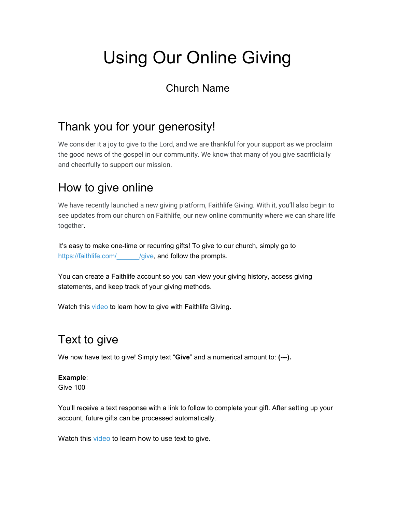# Using Our Online Giving

#### Church Name

#### Thank you for your generosity!

We consider it a joy to give to the Lord, and we are thankful for your support as we proclaim the good news of the gospel in our community. We know that many of you give sacrificially and cheerfully to support our mission.

#### How to give online

We have recently launched a new giving platform, Faithlife Giving. With it, you'll also begin to see updates from our church on Faithlife, our new online community where we can share life together.

It's easy to make one-time or recurring gifts! To give to our church, simply go to https://faithlife.com/ /give, and follow the prompts.

You can create a Faithlife account so you can view your giving history, access giving statements, and keep track of your giving methods.

Watch this [video t](http://sglinks.faithlife.com/wf/click?upn=6PA595q5v4z2rHP-2Bi-2F654N-2FJ04GIRgJ5qFrFhiAF3uKulDZqlW1X9fYZ32WPbpKDBzJYp-2FpjrBwOLCTH2dXYdqgBOfMe-2B4UUbLn-2B9U5N58oIfHrQMZ-2Fvb-2BdMHu2gexZumvrnW-2B3tMvYIOT-2BLKeFdC-2FaOBkzoITJf5x9asNz56Fw-3D_z2wbd-2F4FYRQK0ogB7tG2Mv7R1duEnKnt6jB9SFP6uLq-2BjSHiusIypOuTVW4B4xflFB2-2FwkK-2BudGNsJSg-2BBcB0-2F0XubOFNGo-2FIVHiH1dHdMGPUr3MV7Ljoe8sECC1jGzEiOkcHblSwpjCE29eIxjVOa4lwcR-2Bahhoaa7pgkbMGm1S6he3p0xtkHKzlBypPT8gaMzg0YqNb1PJ0dVaBNgTZIJby-2BtVtz7ZRycQE5yHMRIcAAeBpQ2Iv-2Bybk5-2BHP1NSwyWkp9qjD9h7Bxy-2FltMMyNFos0C85LDNQy24-2Fs-2BqXEMLgSKTO-2BJJjz77GMOts0IvEyxmm0iOnFZY5FSVKr42k9Zumt1JXmW-2BmU3fOcXQ3-2F0-3D)o learn how to give with Faithlife Giving.

### Text to give

We now have text to give! Simply text "**Give**" and a numerical amount to: **(---).**

#### **Example**:

Give 100

You'll receive a text response with a link to follow to complete your gift. After setting up your account, future gifts can be processed automatically.

Watch this [video](https://faithlifetv.com/media/673510) to learn how to use text to give.